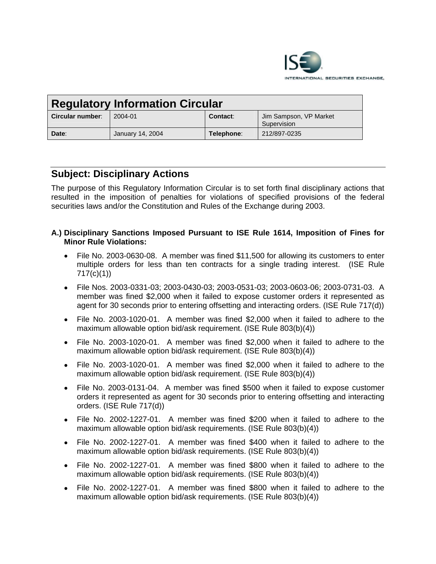

| <b>Regulatory Information Circular</b> |                  |            |                                       |
|----------------------------------------|------------------|------------|---------------------------------------|
| Circular number:                       | 2004-01          | Contact:   | Jim Sampson, VP Market<br>Supervision |
| Date:                                  | January 14, 2004 | Telephone: | 212/897-0235                          |

## **Subject: Disciplinary Actions**

The purpose of this Regulatory Information Circular is to set forth final disciplinary actions that resulted in the imposition of penalties for violations of specified provisions of the federal securities laws and/or the Constitution and Rules of the Exchange during 2003.

## **A.) Disciplinary Sanctions Imposed Pursuant to ISE Rule 1614, Imposition of Fines for Minor Rule Violations:**

- File No. 2003-0630-08. A member was fined \$11,500 for allowing its customers to enter multiple orders for less than ten contracts for a single trading interest. (ISE Rule 717(c)(1))
- File Nos. 2003-0331-03; 2003-0430-03; 2003-0531-03; 2003-0603-06; 2003-0731-03. A member was fined \$2,000 when it failed to expose customer orders it represented as agent for 30 seconds prior to entering offsetting and interacting orders. (ISE Rule 717(d))
- File No. 2003-1020-01. A member was fined \$2,000 when it failed to adhere to the maximum allowable option bid/ask requirement. (ISE Rule 803(b)(4))
- File No. 2003-1020-01. A member was fined \$2,000 when it failed to adhere to the maximum allowable option bid/ask requirement. (ISE Rule 803(b)(4))
- File No. 2003-1020-01. A member was fined \$2,000 when it failed to adhere to the maximum allowable option bid/ask requirement. (ISE Rule 803(b)(4))
- File No. 2003-0131-04. A member was fined \$500 when it failed to expose customer orders it represented as agent for 30 seconds prior to entering offsetting and interacting orders. (ISE Rule 717(d))
- File No. 2002-1227-01. A member was fined \$200 when it failed to adhere to the maximum allowable option bid/ask requirements. (ISE Rule 803(b)(4))
- File No. 2002-1227-01. A member was fined \$400 when it failed to adhere to the maximum allowable option bid/ask requirements. (ISE Rule 803(b)(4))
- File No. 2002-1227-01. A member was fined \$800 when it failed to adhere to the maximum allowable option bid/ask requirements. (ISE Rule 803(b)(4))
- File No. 2002-1227-01. A member was fined \$800 when it failed to adhere to the maximum allowable option bid/ask requirements. (ISE Rule 803(b)(4))